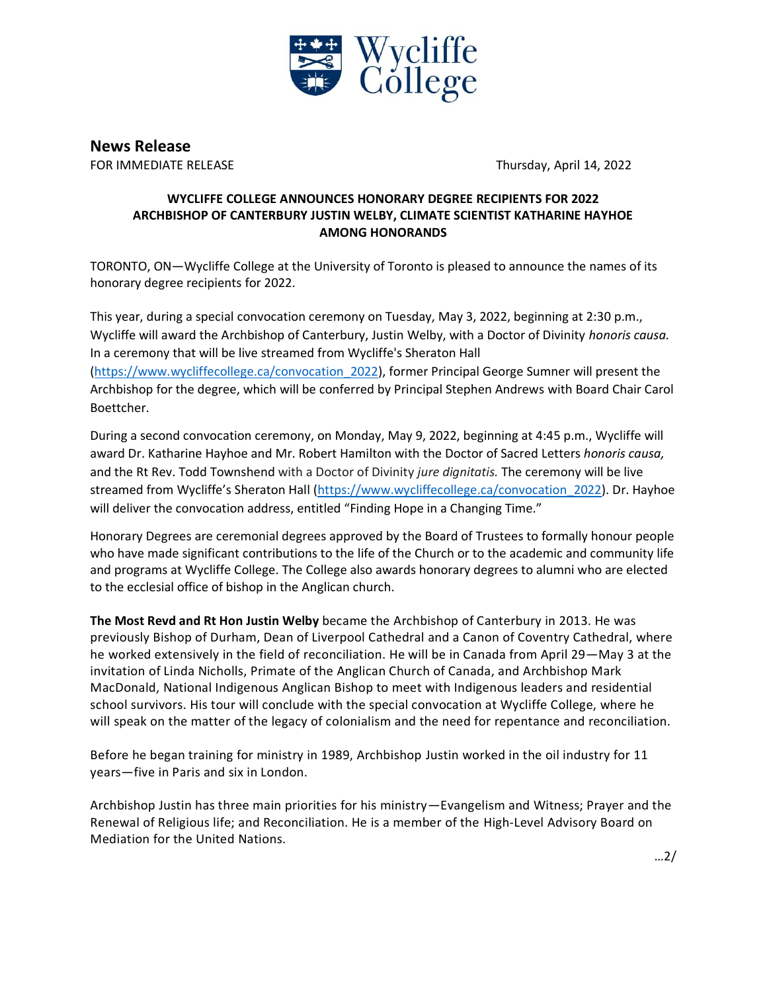

**News Release**

FOR IMMEDIATE RELEASE Thursday, April 14, 2022

## **WYCLIFFE COLLEGE ANNOUNCES HONORARY DEGREE RECIPIENTS FOR 2022 ARCHBISHOP OF CANTERBURY JUSTIN WELBY, CLIMATE SCIENTIST KATHARINE HAYHOE AMONG HONORANDS**

TORONTO, ON—Wycliffe College at the University of Toronto is pleased to announce the names of its honorary degree recipients for 2022.

This year, during a special convocation ceremony on Tuesday, May 3, 2022, beginning at 2:30 p.m., Wycliffe will award the Archbishop of Canterbury, Justin Welby, with a Doctor of Divinity *honoris causa.* In a ceremony that will be live streamed from Wycliffe's Sheraton Hall [\(https://www.wycliffecollege.ca/convocation\\_2022\)](https://www.wycliffecollege.ca/convocation_2022), former Principal George Sumner will present the Archbishop for the degree, which will be conferred by Principal Stephen Andrews with Board Chair Carol Boettcher.

During a second convocation ceremony, on Monday, May 9, 2022, beginning at 4:45 p.m., Wycliffe will award Dr. Katharine Hayhoe and Mr. Robert Hamilton with the Doctor of Sacred Letters *honoris causa,*  and the Rt Rev. Todd Townshend with a Doctor of Divinity *jure dignitatis.* The ceremony will be live streamed from Wycliffe's Sheraton Hall ([https://www.wycliffecollege.ca/convocation\\_2022\)](https://www.wycliffecollege.ca/convocation_2022). Dr. Hayhoe will deliver the convocation address, entitled "Finding Hope in a Changing Time."

Honorary Degrees are ceremonial degrees approved by the Board of Trustees to formally honour people who have made significant contributions to the life of the Church or to the academic and community life and programs at Wycliffe College. The College also awards honorary degrees to alumni who are elected to the ecclesial office of bishop in the Anglican church.

**The Most Revd and Rt Hon Justin Welby** became the Archbishop of Canterbury in 2013. He was previously Bishop of Durham, Dean of Liverpool Cathedral and a Canon of Coventry Cathedral, where he worked extensively in the field of reconciliation. He will be in Canada from April 29—May 3 at the invitation of Linda Nicholls, Primate of the Anglican Church of Canada, and Archbishop Mark MacDonald, National Indigenous Anglican Bishop to meet with Indigenous leaders and residential school survivors. His tour will conclude with the special convocation at Wycliffe College, where he will speak on the matter of the legacy of colonialism and the need for repentance and reconciliation.

Before he began training for ministry in 1989, Archbishop Justin worked in the oil industry for 11 years—five in Paris and six in London.

Archbishop Justin has three main priorities for his ministry—Evangelism and Witness; Prayer and the Renewal of Religious life; and Reconciliation. He is a member of the High-Level Advisory Board on Mediation for the United Nations.